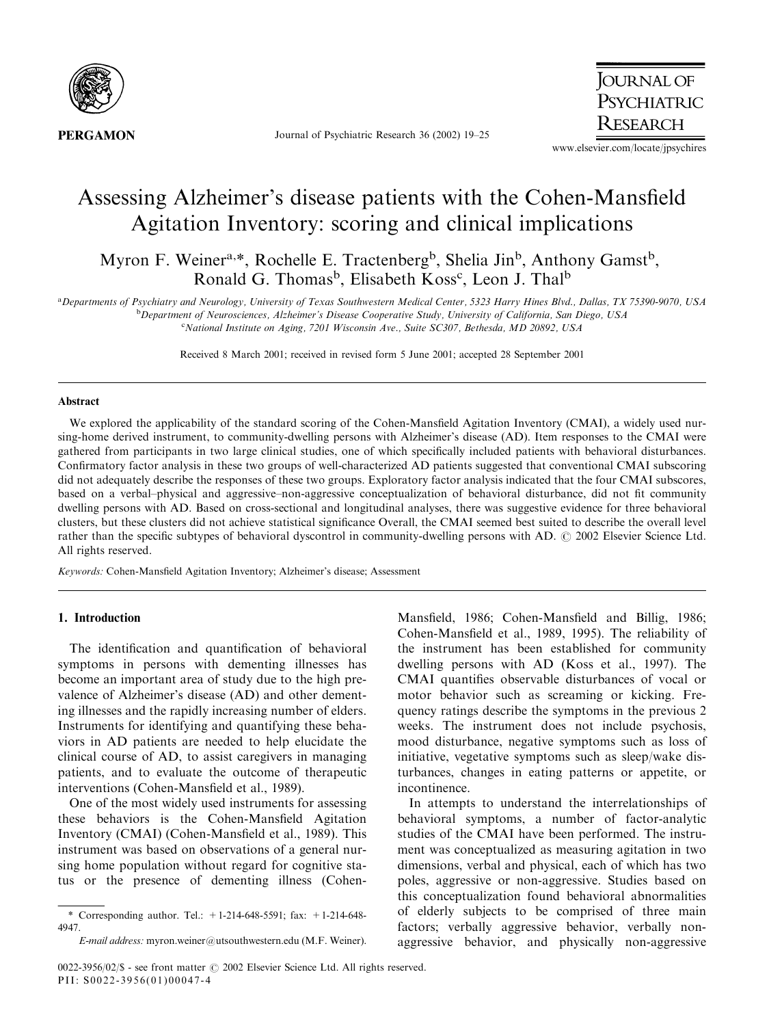

Journal of Psychiatric Research 36 (2002) 19–25

**JOURNAL OF** PSYCHIATRIC **RESEARCH** 

www.elsevier.com/locate/jpsychires

# Assessing Alzheimer's disease patients with the Cohen-Mansfield Agitation Inventory: scoring and clinical implications

Myron F. Weiner<sup>a,\*</sup>, Rochelle E. Tractenberg<sup>b</sup>, Shelia Jin<sup>b</sup>, Anthony Gamst<sup>b</sup>, Ronald G. Thomas<sup>b</sup>, Elisabeth Koss<sup>c</sup>, Leon J. Thal<sup>b</sup>

a Departments of Psychiatry and Neurology, University of Texas Southwestern Medical Center, 5323 Harry Hines Blvd., Dallas, TX 75390-9070, USA <sup>b</sup>Department of Neurosciences, Alzheimer's Disease Cooperative Study, University of California, San Diego, USA

<sup>c</sup>National Institute on Aging, 7201 Wisconsin Ave., Suite SC307, Bethesda, MD 20892, USA

Received 8 March 2001; received in revised form 5 June 2001; accepted 28 September 2001

### Abstract

We explored the applicability of the standard scoring of the Cohen-Mansfield Agitation Inventory (CMAI), a widely used nursing-home derived instrument, to community-dwelling persons with Alzheimer's disease (AD). Item responses to the CMAI were gathered from participants in two large clinical studies, one of which specifically included patients with behavioral disturbances. Confirmatory factor analysis in these two groups of well-characterized AD patients suggested that conventional CMAI subscoring did not adequately describe the responses of these two groups. Exploratory factor analysis indicated that the four CMAI subscores, based on a verbal–physical and aggressive–non-aggressive conceptualization of behavioral disturbance, did not fit community dwelling persons with AD. Based on cross-sectional and longitudinal analyses, there was suggestive evidence for three behavioral clusters, but these clusters did not achieve statistical significance Overall, the CMAI seemed best suited to describe the overall level rather than the specific subtypes of behavioral dyscontrol in community-dwelling persons with AD.  $\odot$  2002 Elsevier Science Ltd. All rights reserved.

Keywords: Cohen-Mansfield Agitation Inventory; Alzheimer's disease; Assessment

## 1. Introduction

The identification and quantification of behavioral symptoms in persons with dementing illnesses has become an important area of study due to the high prevalence of Alzheimer's disease (AD) and other dementing illnesses and the rapidly increasing number of elders. Instruments for identifying and quantifying these behaviors in AD patients are needed to help elucidate the clinical course of AD, to assist caregivers in managing patients, and to evaluate the outcome of therapeutic interventions (Cohen-Mansfield et al., 1989).

One of the most widely used instruments for assessing these behaviors is the Cohen-Mansfield Agitation Inventory (CMAI) (Cohen-Mansfield et al., 1989). This instrument was based on observations of a general nursing home population without regard for cognitive status or the presence of dementing illness (CohenMansfield, 1986; Cohen-Mansfield and Billig, 1986; Cohen-Mansfield et al., 1989, 1995). The reliability of the instrument has been established for community dwelling persons with AD (Koss et al., 1997). The CMAI quantifies observable disturbances of vocal or motor behavior such as screaming or kicking. Frequency ratings describe the symptoms in the previous 2 weeks. The instrument does not include psychosis, mood disturbance, negative symptoms such as loss of initiative, vegetative symptoms such as sleep/wake disturbances, changes in eating patterns or appetite, or incontinence.

In attempts to understand the interrelationships of behavioral symptoms, a number of factor-analytic studies of the CMAI have been performed. The instrument was conceptualized as measuring agitation in two dimensions, verbal and physical, each of which has two poles, aggressive or non-aggressive. Studies based on this conceptualization found behavioral abnormalities of elderly subjects to be comprised of three main factors; verbally aggressive behavior, verbally nonaggressive behavior, and physically non-aggressive

<sup>\*</sup>Corresponding author. Tel.: +1-214-648-5591; fax: +1-214-648- 4947.

E-mail address: myron.weiner@utsouthwestern.edu (M.F. Weiner).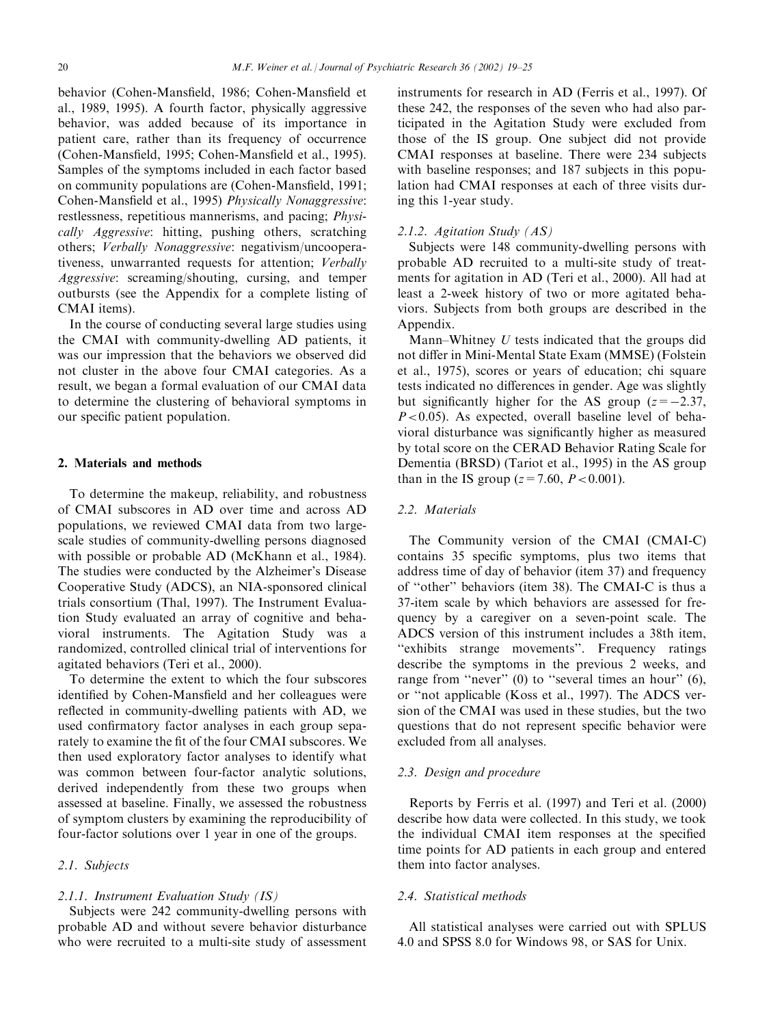behavior (Cohen-Mansfield, 1986; Cohen-Mansfield et al., 1989, 1995). A fourth factor, physically aggressive behavior, was added because of its importance in patient care, rather than its frequency of occurrence (Cohen-Mansfield, 1995; Cohen-Mansfield et al., 1995). Samples of the symptoms included in each factor based on community populations are (Cohen-Mansfield, 1991; Cohen-Mansfield et al., 1995) Physically Nonaggressive: restlessness, repetitious mannerisms, and pacing; Physically Aggressive: hitting, pushing others, scratching others; Verbally Nonaggressive: negativism/uncooperativeness, unwarranted requests for attention; Verbally Aggressive: screaming/shouting, cursing, and temper outbursts (see the Appendix for a complete listing of CMAI items).

In the course of conducting several large studies using the CMAI with community-dwelling AD patients, it was our impression that the behaviors we observed did not cluster in the above four CMAI categories. As a result, we began a formal evaluation of our CMAI data to determine the clustering of behavioral symptoms in our specific patient population.

#### 2. Materials and methods

To determine the makeup, reliability, and robustness of CMAI subscores in AD over time and across AD populations, we reviewed CMAI data from two largescale studies of community-dwelling persons diagnosed with possible or probable AD (McKhann et al., 1984). The studies were conducted by the Alzheimer's Disease Cooperative Study (ADCS), an NIA-sponsored clinical trials consortium (Thal, 1997). The Instrument Evaluation Study evaluated an array of cognitive and behavioral instruments. The Agitation Study was a randomized, controlled clinical trial of interventions for agitated behaviors (Teri et al., 2000).

To determine the extent to which the four subscores identified by Cohen-Mansfield and her colleagues were reflected in community-dwelling patients with AD, we used confirmatory factor analyses in each group separately to examine the fit of the four CMAI subscores. We then used exploratory factor analyses to identify what was common between four-factor analytic solutions, derived independently from these two groups when assessed at baseline. Finally, we assessed the robustness of symptom clusters by examining the reproducibility of four-factor solutions over 1 year in one of the groups.

# 2.1. Subjects

#### 2.1.1. Instrument Evaluation Study (IS)

Subjects were 242 community-dwelling persons with probable AD and without severe behavior disturbance who were recruited to a multi-site study of assessment instruments for research in AD (Ferris et al., 1997). Of these 242, the responses of the seven who had also participated in the Agitation Study were excluded from those of the IS group. One subject did not provide CMAI responses at baseline. There were 234 subjects with baseline responses; and 187 subjects in this population had CMAI responses at each of three visits during this 1-year study.

#### 2.1.2. Agitation Study (AS)

Subjects were 148 community-dwelling persons with probable AD recruited to a multi-site study of treatments for agitation in AD (Teri et al., 2000). All had at least a 2-week history of two or more agitated behaviors. Subjects from both groups are described in the Appendix.

Mann–Whitney U tests indicated that the groups did not differ in Mini-Mental State Exam (MMSE) (Folstein et al., 1975), scores or years of education; chi square tests indicated no differences in gender. Age was slightly but significantly higher for the AS group  $(z=-2.37, z)$  $P < 0.05$ ). As expected, overall baseline level of behavioral disturbance was significantly higher as measured by total score on the CERAD Behavior Rating Scale for Dementia (BRSD) (Tariot et al., 1995) in the AS group than in the IS group ( $z = 7.60$ ,  $P < 0.001$ ).

#### 2.2. Materials

The Community version of the CMAI (CMAI-C) contains 35 specific symptoms, plus two items that address time of day of behavior (item 37) and frequency of ''other'' behaviors (item 38). The CMAI-C is thus a 37-item scale by which behaviors are assessed for frequency by a caregiver on a seven-point scale. The ADCS version of this instrument includes a 38th item, ''exhibits strange movements''. Frequency ratings describe the symptoms in the previous 2 weeks, and range from "never" (0) to "several times an hour" (6), or ''not applicable (Koss et al., 1997). The ADCS version of the CMAI was used in these studies, but the two questions that do not represent specific behavior were excluded from all analyses.

### 2.3. Design and procedure

Reports by Ferris et al. (1997) and Teri et al. (2000) describe how data were collected. In this study, we took the individual CMAI item responses at the specified time points for AD patients in each group and entered them into factor analyses.

### 2.4. Statistical methods

All statistical analyses were carried out with SPLUS 4.0 and SPSS 8.0 for Windows 98, or SAS for Unix.